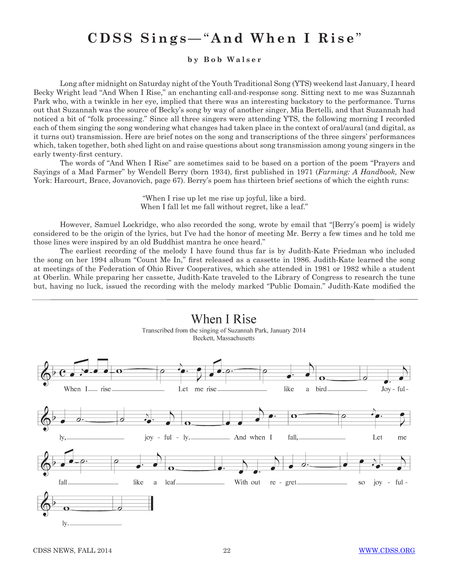## **CDSS Sings—**" **And When I Rise** "

**b y B o b W a l s e r** 

Long after midnight on Saturday night of the Youth Traditional Song (YTS) weekend last January, I heard Becky Wright lead "And When I Rise," an enchanting call-and-response song. Sitting next to me was Suzannah Park who, with a twinkle in her eye, implied that there was an interesting backstory to the performance. Turns out that Suzannah was the source of Becky's song by way of another singer, Mia Bertelli, and that Suzannah had noticed a bit of "folk processing." Since all three singers were attending YTS, the following morning I recorded each of them singing the song wondering what changes had taken place in the context of oral/aural (and digital, as it turns out) transmission. Here are brief notes on the song and transcriptions of the three singers' performances which, taken together, both shed light on and raise questions about song transmission among young singers in the early twenty-first century.

The words of "And When I Rise" are sometimes said to be based on a portion of the poem "Prayers and Sayings of a Mad Farmer" by Wendell Berry (born 1934), first published in 1971 (*Farming: A Handbook,* New York: Harcourt, Brace, Jovanovich, page 67). Berry's poem has thirteen brief sections of which the eighth runs:

> "When I rise up let me rise up joyful, like a bird. When I fall let me fall without regret, like a leaf."

However, Samuel Lockridge, who also recorded the song, wrote by email that "[Berry's poem] is widely considered to be the origin of the lyrics, but I've had the honor of meeting Mr. Berry a few times and he told me those lines were inspired by an old Buddhist mantra he once heard."

The earliest recording of the melody I have found thus far is by Judith-Kate Friedman who included the song on her 1994 album "Count Me In," first released as a cassette in 1986. Judith-Kate learned the song at meetings of the Federation of Ohio River Cooperatives, which she attended in 1981 or 1982 while a student at Oberlin. While preparing her cassette, Judith-Kate traveled to the Library of Congress to research the tune but, having no luck, issued the recording with the melody marked "Public Domain." Judith-Kate modified the